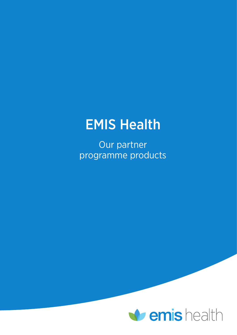## EMIS Health

Our partner programme products